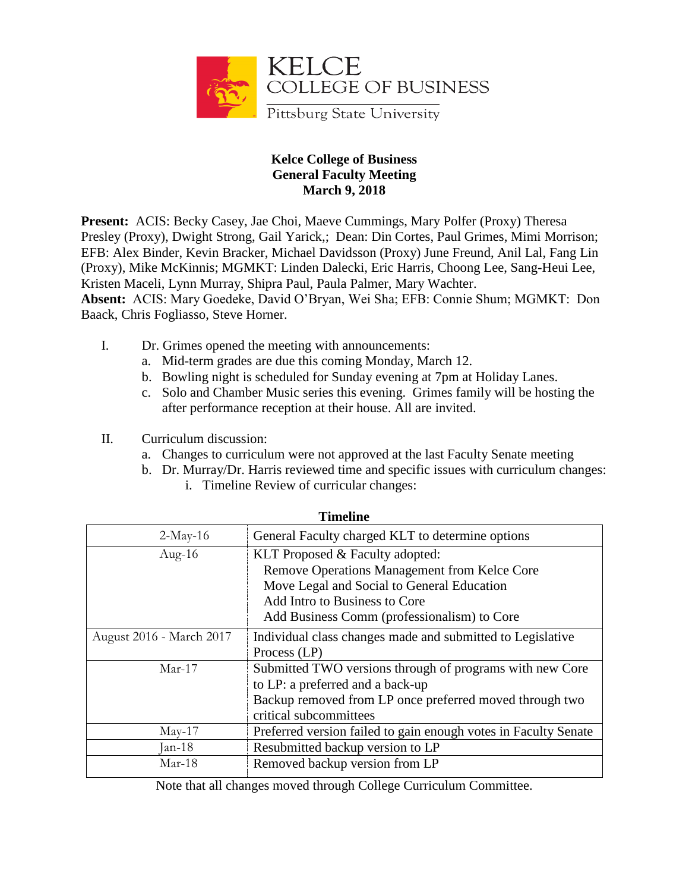

## **Kelce College of Business General Faculty Meeting March 9, 2018**

**Present:** ACIS: Becky Casey, Jae Choi, Maeve Cummings, Mary Polfer (Proxy) Theresa Presley (Proxy), Dwight Strong, Gail Yarick,; Dean: Din Cortes, Paul Grimes, Mimi Morrison; EFB: Alex Binder, Kevin Bracker, Michael Davidsson (Proxy) June Freund, Anil Lal, Fang Lin (Proxy), Mike McKinnis; MGMKT: Linden Dalecki, Eric Harris, Choong Lee, Sang-Heui Lee, Kristen Maceli, Lynn Murray, Shipra Paul, Paula Palmer, Mary Wachter.

**Absent:** ACIS: Mary Goedeke, David O'Bryan, Wei Sha; EFB: Connie Shum; MGMKT: Don Baack, Chris Fogliasso, Steve Horner.

- I. Dr. Grimes opened the meeting with announcements:
	- a. Mid-term grades are due this coming Monday, March 12.
	- b. Bowling night is scheduled for Sunday evening at 7pm at Holiday Lanes.
	- c. Solo and Chamber Music series this evening. Grimes family will be hosting the after performance reception at their house. All are invited.
- II. Curriculum discussion:
	- a. Changes to curriculum were not approved at the last Faculty Senate meeting
	- b. Dr. Murray/Dr. Harris reviewed time and specific issues with curriculum changes: i. Timeline Review of curricular changes:

| т писипе                 |                                                                 |
|--------------------------|-----------------------------------------------------------------|
| $2-May-16$               | General Faculty charged KLT to determine options                |
| Aug- $16$                | KLT Proposed & Faculty adopted:                                 |
|                          | Remove Operations Management from Kelce Core                    |
|                          | Move Legal and Social to General Education                      |
|                          | Add Intro to Business to Core                                   |
|                          | Add Business Comm (professionalism) to Core                     |
| August 2016 - March 2017 | Individual class changes made and submitted to Legislative      |
|                          | Process (LP)                                                    |
| $Mar-17$                 | Submitted TWO versions through of programs with new Core        |
|                          | to LP: a preferred and a back-up                                |
|                          | Backup removed from LP once preferred moved through two         |
|                          | critical subcommittees                                          |
| $May-17$                 | Preferred version failed to gain enough votes in Faculty Senate |
| Jan-18                   | Resubmitted backup version to LP                                |
| Mar-18                   | Removed backup version from LP                                  |

## **Timeline**

Note that all changes moved through College Curriculum Committee.